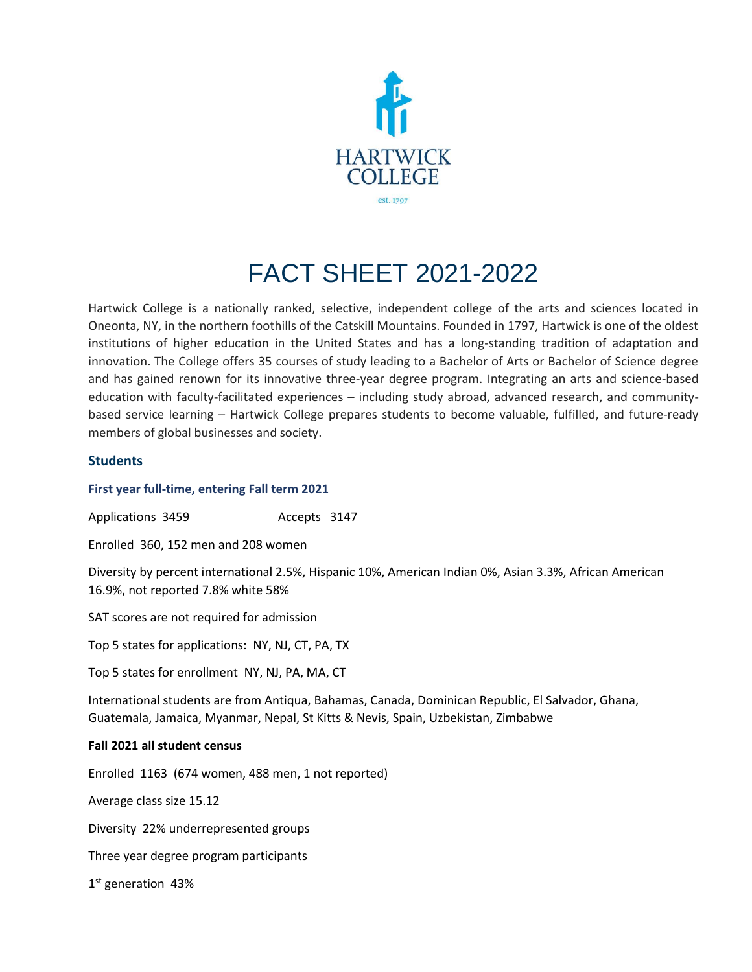

# FACT SHEET 2021-2022

Hartwick College is a nationally ranked, selective, independent college of the arts and sciences located in Oneonta, NY, in the northern foothills of the Catskill Mountains. Founded in 1797, Hartwick is one of the oldest institutions of higher education in the United States and has a long-standing tradition of adaptation and innovation. The College offers 35 courses of study leading to a Bachelor of Arts or Bachelor of Science degree and has gained renown for its innovative three-year degree program. Integrating an arts and science-based education with faculty-facilitated experiences – including study abroad, advanced research, and communitybased service learning – Hartwick College prepares students to become valuable, fulfilled, and future-ready members of global businesses and society.

# **Students**

# **First year full-time, entering Fall term 2021**

Applications 3459 Accepts 3147

Enrolled 360, 152 men and 208 women

Diversity by percent international 2.5%, Hispanic 10%, American Indian 0%, Asian 3.3%, African American 16.9%, not reported 7.8% white 58%

SAT scores are not required for admission

Top 5 states for applications: NY, NJ, CT, PA, TX

Top 5 states for enrollment NY, NJ, PA, MA, CT

International students are from Antiqua, Bahamas, Canada, Dominican Republic, El Salvador, Ghana, Guatemala, Jamaica, Myanmar, Nepal, St Kitts & Nevis, Spain, Uzbekistan, Zimbabwe

# **Fall 2021 all student census**

Enrolled 1163 (674 women, 488 men, 1 not reported)

Average class size 15.12

Diversity 22% underrepresented groups

Three year degree program participants

1st generation 43%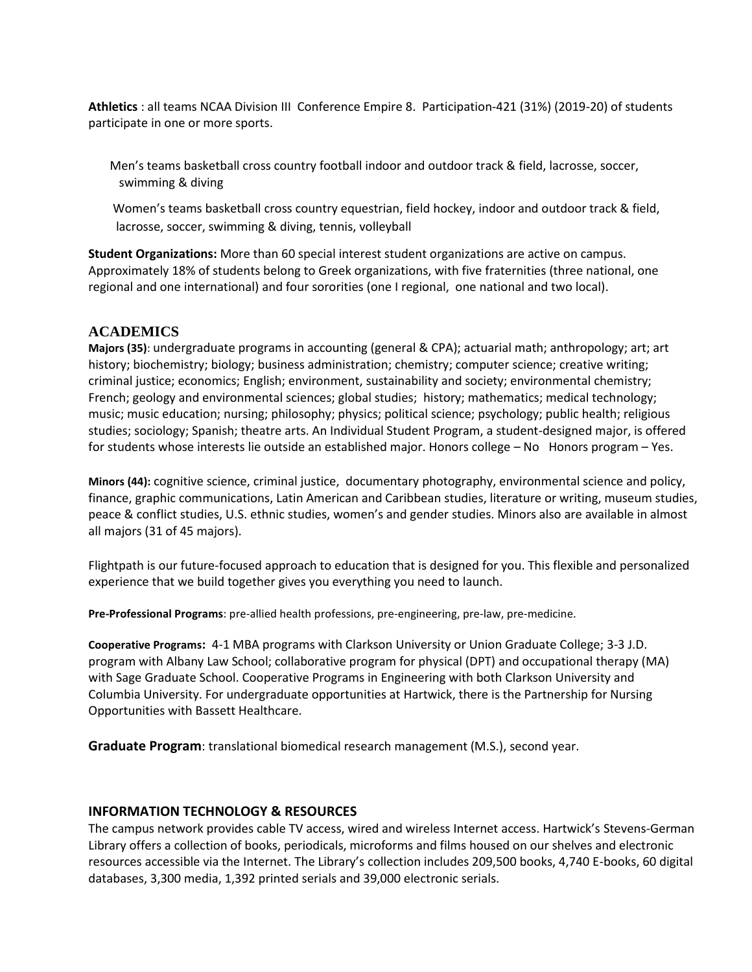**Athletics** : all teams NCAA Division III Conference Empire 8. Participation-421 (31%) (2019-20) of students participate in one or more sports.

 Men's teams basketball cross country football indoor and outdoor track & field, lacrosse, soccer, swimming & diving

 Women's teams basketball cross country equestrian, field hockey, indoor and outdoor track & field, lacrosse, soccer, swimming & diving, tennis, volleyball

**Student Organizations:** More than 60 special interest student organizations are active on campus. Approximately 18% of students belong to Greek organizations, with five fraternities (three national, one regional and one international) and four sororities (one I regional, one national and two local).

# **ACADEMICS**

**Majors (35)**: undergraduate programs in accounting (general & CPA); actuarial math; anthropology; art; art history; biochemistry; biology; business administration; chemistry; computer science; creative writing; criminal justice; economics; English; environment, sustainability and society; environmental chemistry; French; geology and environmental sciences; global studies; history; mathematics; medical technology; music; music education; nursing; philosophy; physics; political science; psychology; public health; religious studies; sociology; Spanish; theatre arts. An Individual Student Program, a student-designed major, is offered for students whose interests lie outside an established major. Honors college – No Honors program – Yes.

**Minors (44):** cognitive science, criminal justice, documentary photography, environmental science and policy, finance, graphic communications, Latin American and Caribbean studies, literature or writing, museum studies, peace & conflict studies, U.S. ethnic studies, women's and gender studies. Minors also are available in almost all majors (31 of 45 majors).

Flightpath is our future-focused approach to education that is designed for you. This flexible and personalized experience that we build together gives you everything you need to launch.

**Pre-Professional Programs**: pre-allied health professions, pre-engineering, pre-law, pre-medicine.

**Cooperative Programs:** 4-1 MBA programs with Clarkson University or Union Graduate College; 3-3 J.D. program with Albany Law School; collaborative program for physical (DPT) and occupational therapy (MA) with Sage Graduate School. Cooperative Programs in Engineering with both Clarkson University and Columbia University. For undergraduate opportunities at Hartwick, there is the Partnership for Nursing Opportunities with Bassett Healthcare.

**Graduate Program**: translational biomedical research management (M.S.), second year.

# **INFORMATION TECHNOLOGY & RESOURCES**

The campus network provides cable TV access, wired and wireless Internet access. Hartwick's Stevens-German Library offers a collection of books, periodicals, microforms and films housed on our shelves and electronic resources accessible via the Internet. The Library's collection includes 209,500 books, 4,740 E-books, 60 digital databases, 3,300 media, 1,392 printed serials and 39,000 electronic serials.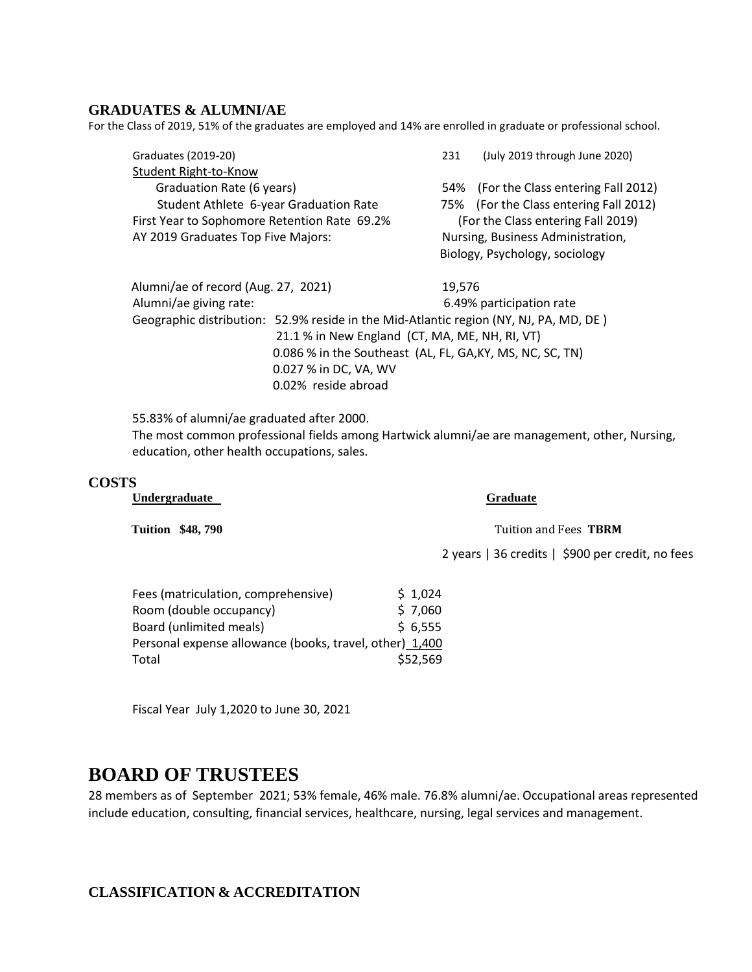# **GRADUATES & ALUMNI/AE**

For the Class of 2019, 51% of the graduates are employed and 14% are enrolled in graduate or professional school.

| Graduates (2019-20)                                       |                                                                                       | 231                                | (July 2019 through June 2020)          |  |
|-----------------------------------------------------------|---------------------------------------------------------------------------------------|------------------------------------|----------------------------------------|--|
| Student Right-to-Know                                     |                                                                                       |                                    |                                        |  |
| Graduation Rate (6 years)                                 |                                                                                       |                                    | 54% (For the Class entering Fall 2012) |  |
| Student Athlete 6-year Graduation Rate                    |                                                                                       |                                    | 75% (For the Class entering Fall 2012) |  |
| First Year to Sophomore Retention Rate 69.2%              |                                                                                       | (For the Class entering Fall 2019) |                                        |  |
| AY 2019 Graduates Top Five Majors:                        |                                                                                       |                                    | Nursing, Business Administration,      |  |
|                                                           |                                                                                       |                                    | Biology, Psychology, sociology         |  |
| Alumni/ae of record (Aug. 27, 2021)                       |                                                                                       | 19,576                             |                                        |  |
| Alumni/ae giving rate:                                    |                                                                                       |                                    | 6.49% participation rate               |  |
|                                                           | Geographic distribution: 52.9% reside in the Mid-Atlantic region (NY, NJ, PA, MD, DE) |                                    |                                        |  |
|                                                           | 21.1 % in New England (CT, MA, ME, NH, RI, VT)                                        |                                    |                                        |  |
| 0.086 % in the Southeast (AL, FL, GA, KY, MS, NC, SC, TN) |                                                                                       |                                    |                                        |  |
|                                                           | 0.027 % in DC, VA, WV                                                                 |                                    |                                        |  |
|                                                           | 0.02% reside abroad                                                                   |                                    |                                        |  |
|                                                           |                                                                                       |                                    |                                        |  |

55.83% of alumni/ae graduated after 2000. The most common professional fields among Hartwick alumni/ae are management, other, Nursing, education, other health occupations, sales.

#### **COSTS**

**Undergraduate Graduate** 

Tuition \$48, 790 **Tuition \$48, 790** Tuition and Fees TBRM

2 years | 36 credits | \$900 per credit, no fees

| Fees (matriculation, comprehensive)                     | \$1,024  |
|---------------------------------------------------------|----------|
| Room (double occupancy)                                 | \$7,060  |
| Board (unlimited meals)                                 | \$6,555  |
| Personal expense allowance (books, travel, other) 1,400 |          |
| Total                                                   | \$52,569 |
|                                                         |          |

Fiscal Year July 1,2020 to June 30, 2021

# **BOARD OF TRUSTEES**

28 members as of September 2021; 53% female, 46% male. 76.8% alumni/ae. Occupational areas represented include education, consulting, financial services, healthcare, nursing, legal services and management.

# **CLASSIFICATION & ACCREDITATION**